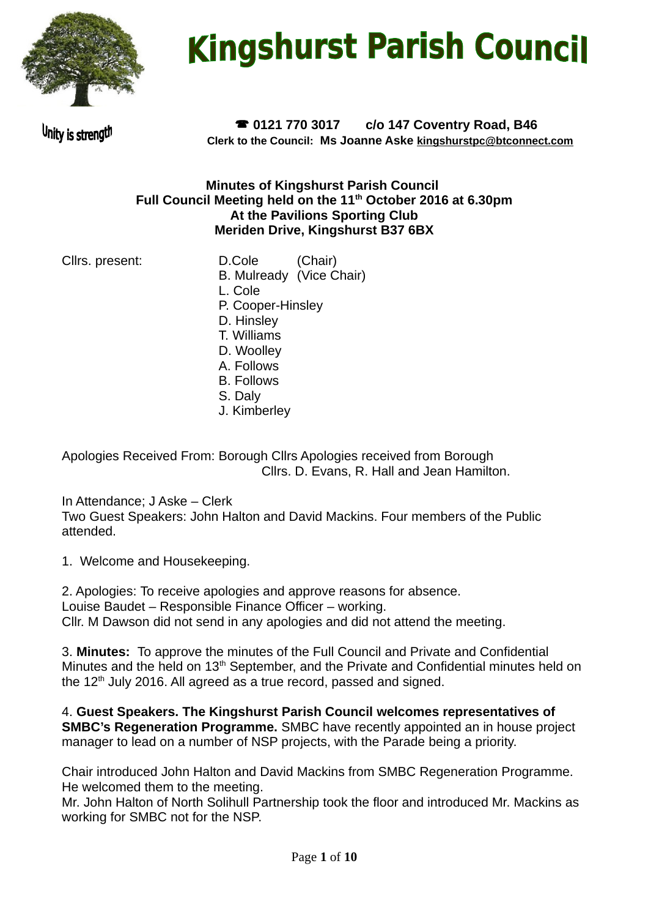

# **Kingshurst Parish Council**

Unity is strength

 **0121 770 3017 c/o 147 Coventry Road, B46 Clerk to the Council: Ms Joanne Aske [kingshurstpc@btconnect.com](mailto:kingshurstpc@btconnect.com)**

## **Minutes of Kingshurst Parish Council Full Council Meeting held on the 11th October 2016 at 6.30pm At the Pavilions Sporting Club Meriden Drive, Kingshurst B37 6BX**

Cllrs. present: D.Cole (Chair) B. Mulready (Vice Chair) L. Cole P. Cooper-Hinsley D. Hinsley T. Williams D. Woolley A. Follows B. Follows S. Daly J. Kimberley

Apologies Received From: Borough Cllrs Apologies received from Borough Cllrs. D. Evans, R. Hall and Jean Hamilton.

In Attendance; J Aske – Clerk Two Guest Speakers: John Halton and David Mackins. Four members of the Public attended.

1. Welcome and Housekeeping.

2. Apologies: To receive apologies and approve reasons for absence. Louise Baudet – Responsible Finance Officer – working. Cllr. M Dawson did not send in any apologies and did not attend the meeting.

3. **Minutes:** To approve the minutes of the Full Council and Private and Confidential Minutes and the held on 13<sup>th</sup> September, and the Private and Confidential minutes held on the  $12<sup>th</sup>$  July 2016. All agreed as a true record, passed and signed.

4. **Guest Speakers. The Kingshurst Parish Council welcomes representatives of SMBC's Regeneration Programme.** SMBC have recently appointed an in house project manager to lead on a number of NSP projects, with the Parade being a priority.

Chair introduced John Halton and David Mackins from SMBC Regeneration Programme. He welcomed them to the meeting.

Mr. John Halton of North Solihull Partnership took the floor and introduced Mr. Mackins as working for SMBC not for the NSP.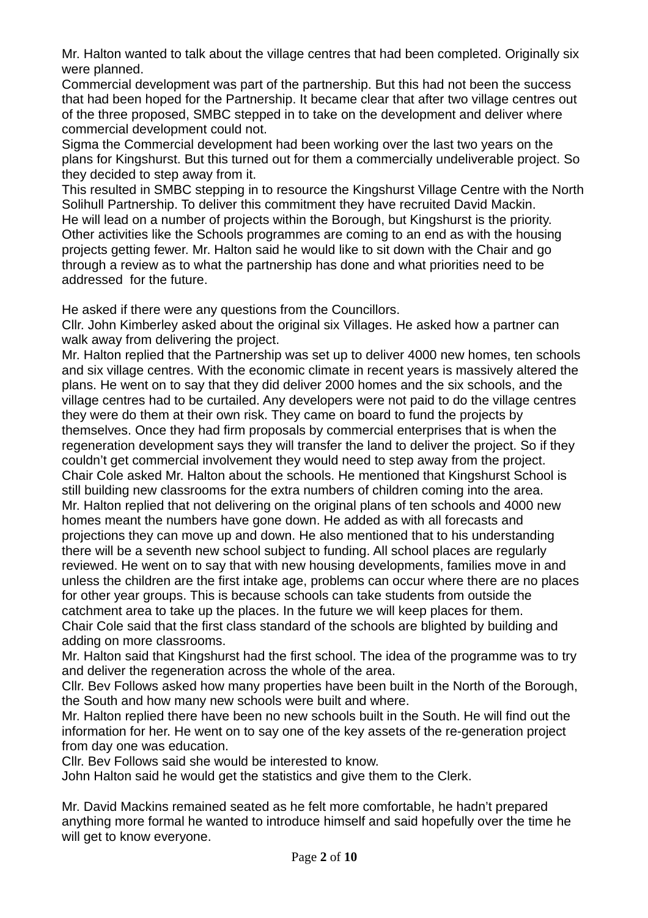Mr. Halton wanted to talk about the village centres that had been completed. Originally six were planned.

Commercial development was part of the partnership. But this had not been the success that had been hoped for the Partnership. It became clear that after two village centres out of the three proposed, SMBC stepped in to take on the development and deliver where commercial development could not.

Sigma the Commercial development had been working over the last two years on the plans for Kingshurst. But this turned out for them a commercially undeliverable project. So they decided to step away from it.

This resulted in SMBC stepping in to resource the Kingshurst Village Centre with the North Solihull Partnership. To deliver this commitment they have recruited David Mackin. He will lead on a number of projects within the Borough, but Kingshurst is the priority. Other activities like the Schools programmes are coming to an end as with the housing projects getting fewer. Mr. Halton said he would like to sit down with the Chair and go through a review as to what the partnership has done and what priorities need to be addressed for the future.

He asked if there were any questions from the Councillors.

Cllr. John Kimberley asked about the original six Villages. He asked how a partner can walk away from delivering the project.

Mr. Halton replied that the Partnership was set up to deliver 4000 new homes, ten schools and six village centres. With the economic climate in recent years is massively altered the plans. He went on to say that they did deliver 2000 homes and the six schools, and the village centres had to be curtailed. Any developers were not paid to do the village centres they were do them at their own risk. They came on board to fund the projects by themselves. Once they had firm proposals by commercial enterprises that is when the regeneration development says they will transfer the land to deliver the project. So if they couldn't get commercial involvement they would need to step away from the project. Chair Cole asked Mr. Halton about the schools. He mentioned that Kingshurst School is still building new classrooms for the extra numbers of children coming into the area. Mr. Halton replied that not delivering on the original plans of ten schools and 4000 new homes meant the numbers have gone down. He added as with all forecasts and projections they can move up and down. He also mentioned that to his understanding there will be a seventh new school subject to funding. All school places are regularly reviewed. He went on to say that with new housing developments, families move in and unless the children are the first intake age, problems can occur where there are no places for other year groups. This is because schools can take students from outside the catchment area to take up the places. In the future we will keep places for them. Chair Cole said that the first class standard of the schools are blighted by building and adding on more classrooms.

Mr. Halton said that Kingshurst had the first school. The idea of the programme was to try and deliver the regeneration across the whole of the area.

Cllr. Bev Follows asked how many properties have been built in the North of the Borough, the South and how many new schools were built and where.

Mr. Halton replied there have been no new schools built in the South. He will find out the information for her. He went on to say one of the key assets of the re-generation project from day one was education.

Cllr. Bev Follows said she would be interested to know.

John Halton said he would get the statistics and give them to the Clerk.

Mr. David Mackins remained seated as he felt more comfortable, he hadn't prepared anything more formal he wanted to introduce himself and said hopefully over the time he will get to know everyone.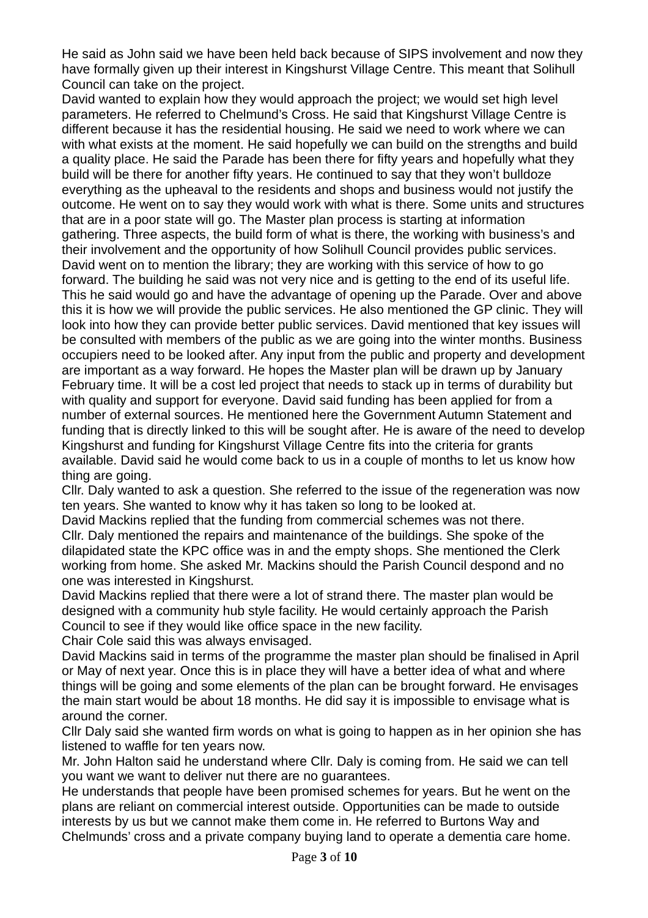He said as John said we have been held back because of SIPS involvement and now they have formally given up their interest in Kingshurst Village Centre. This meant that Solihull Council can take on the project.

David wanted to explain how they would approach the project; we would set high level parameters. He referred to Chelmund's Cross. He said that Kingshurst Village Centre is different because it has the residential housing. He said we need to work where we can with what exists at the moment. He said hopefully we can build on the strengths and build a quality place. He said the Parade has been there for fifty years and hopefully what they build will be there for another fifty years. He continued to say that they won't bulldoze everything as the upheaval to the residents and shops and business would not justify the outcome. He went on to say they would work with what is there. Some units and structures that are in a poor state will go. The Master plan process is starting at information gathering. Three aspects, the build form of what is there, the working with business's and their involvement and the opportunity of how Solihull Council provides public services. David went on to mention the library; they are working with this service of how to go forward. The building he said was not very nice and is getting to the end of its useful life. This he said would go and have the advantage of opening up the Parade. Over and above this it is how we will provide the public services. He also mentioned the GP clinic. They will look into how they can provide better public services. David mentioned that key issues will be consulted with members of the public as we are going into the winter months. Business occupiers need to be looked after. Any input from the public and property and development are important as a way forward. He hopes the Master plan will be drawn up by January February time. It will be a cost led project that needs to stack up in terms of durability but with quality and support for everyone. David said funding has been applied for from a number of external sources. He mentioned here the Government Autumn Statement and funding that is directly linked to this will be sought after. He is aware of the need to develop Kingshurst and funding for Kingshurst Village Centre fits into the criteria for grants available. David said he would come back to us in a couple of months to let us know how thing are going.

Cllr. Daly wanted to ask a question. She referred to the issue of the regeneration was now ten years. She wanted to know why it has taken so long to be looked at.

David Mackins replied that the funding from commercial schemes was not there. Cllr. Daly mentioned the repairs and maintenance of the buildings. She spoke of the dilapidated state the KPC office was in and the empty shops. She mentioned the Clerk working from home. She asked Mr. Mackins should the Parish Council despond and no one was interested in Kingshurst.

David Mackins replied that there were a lot of strand there. The master plan would be designed with a community hub style facility. He would certainly approach the Parish Council to see if they would like office space in the new facility.

Chair Cole said this was always envisaged.

David Mackins said in terms of the programme the master plan should be finalised in April or May of next year. Once this is in place they will have a better idea of what and where things will be going and some elements of the plan can be brought forward. He envisages the main start would be about 18 months. He did say it is impossible to envisage what is around the corner.

Cllr Daly said she wanted firm words on what is going to happen as in her opinion she has listened to waffle for ten years now.

Mr. John Halton said he understand where Cllr. Daly is coming from. He said we can tell you want we want to deliver nut there are no guarantees.

He understands that people have been promised schemes for years. But he went on the plans are reliant on commercial interest outside. Opportunities can be made to outside interests by us but we cannot make them come in. He referred to Burtons Way and Chelmunds' cross and a private company buying land to operate a dementia care home.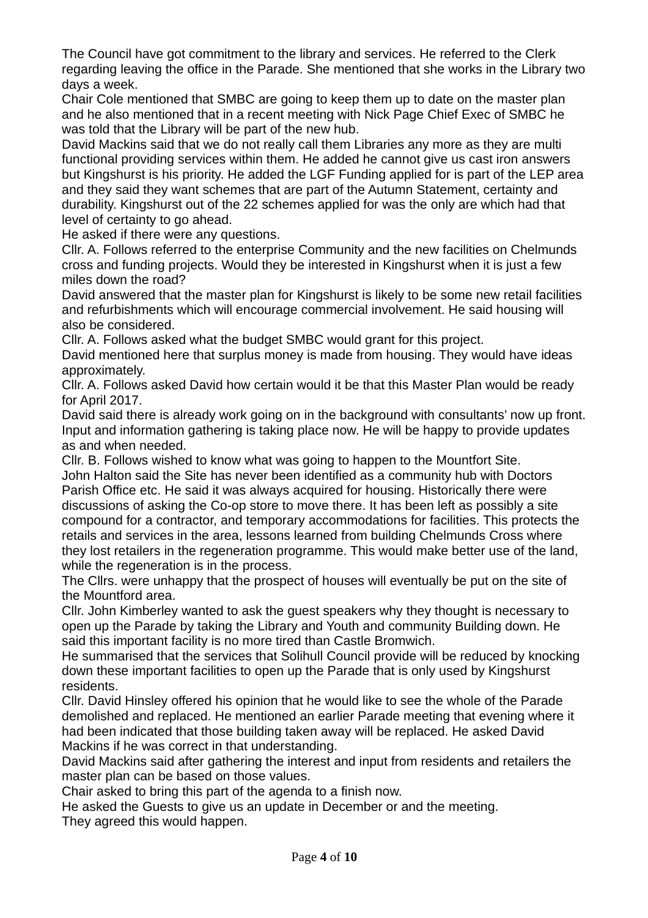The Council have got commitment to the library and services. He referred to the Clerk regarding leaving the office in the Parade. She mentioned that she works in the Library two days a week.

Chair Cole mentioned that SMBC are going to keep them up to date on the master plan and he also mentioned that in a recent meeting with Nick Page Chief Exec of SMBC he was told that the Library will be part of the new hub.

David Mackins said that we do not really call them Libraries any more as they are multi functional providing services within them. He added he cannot give us cast iron answers but Kingshurst is his priority. He added the LGF Funding applied for is part of the LEP area and they said they want schemes that are part of the Autumn Statement, certainty and durability. Kingshurst out of the 22 schemes applied for was the only are which had that level of certainty to go ahead.

He asked if there were any questions.

Cllr. A. Follows referred to the enterprise Community and the new facilities on Chelmunds cross and funding projects. Would they be interested in Kingshurst when it is just a few miles down the road?

David answered that the master plan for Kingshurst is likely to be some new retail facilities and refurbishments which will encourage commercial involvement. He said housing will also be considered.

Cllr. A. Follows asked what the budget SMBC would grant for this project.

David mentioned here that surplus money is made from housing. They would have ideas approximately.

Cllr. A. Follows asked David how certain would it be that this Master Plan would be ready for April 2017.

David said there is already work going on in the background with consultants' now up front. Input and information gathering is taking place now. He will be happy to provide updates as and when needed.

Cllr. B. Follows wished to know what was going to happen to the Mountfort Site. John Halton said the Site has never been identified as a community hub with Doctors Parish Office etc. He said it was always acquired for housing. Historically there were discussions of asking the Co-op store to move there. It has been left as possibly a site compound for a contractor, and temporary accommodations for facilities. This protects the retails and services in the area, lessons learned from building Chelmunds Cross where they lost retailers in the regeneration programme. This would make better use of the land, while the regeneration is in the process.

The Cllrs. were unhappy that the prospect of houses will eventually be put on the site of the Mountford area.

Cllr. John Kimberley wanted to ask the guest speakers why they thought is necessary to open up the Parade by taking the Library and Youth and community Building down. He said this important facility is no more tired than Castle Bromwich.

He summarised that the services that Solihull Council provide will be reduced by knocking down these important facilities to open up the Parade that is only used by Kingshurst residents.

Cllr. David Hinsley offered his opinion that he would like to see the whole of the Parade demolished and replaced. He mentioned an earlier Parade meeting that evening where it had been indicated that those building taken away will be replaced. He asked David Mackins if he was correct in that understanding.

David Mackins said after gathering the interest and input from residents and retailers the master plan can be based on those values.

Chair asked to bring this part of the agenda to a finish now.

He asked the Guests to give us an update in December or and the meeting. They agreed this would happen.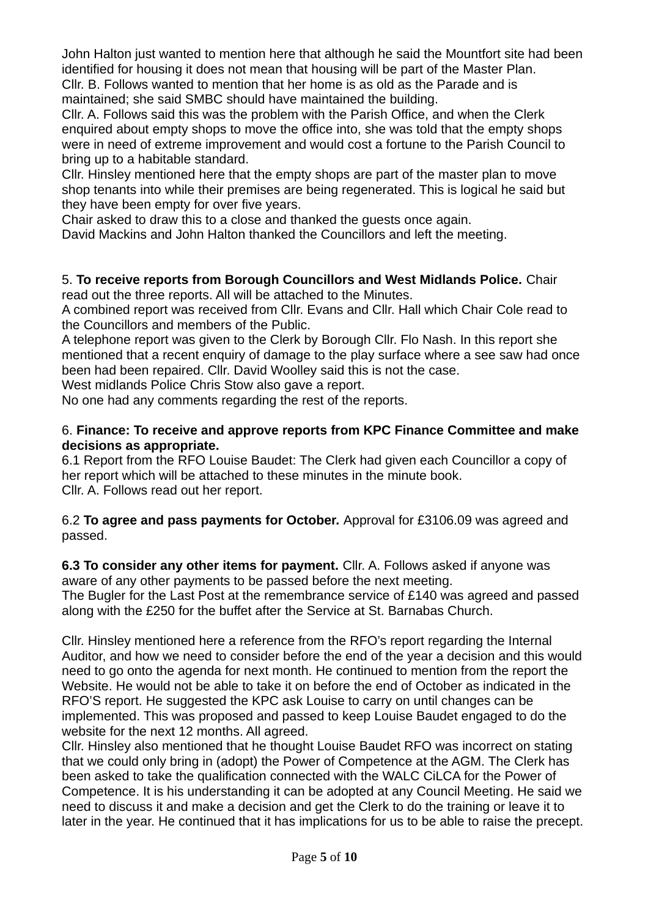John Halton just wanted to mention here that although he said the Mountfort site had been identified for housing it does not mean that housing will be part of the Master Plan.

Cllr. B. Follows wanted to mention that her home is as old as the Parade and is maintained; she said SMBC should have maintained the building.

Cllr. A. Follows said this was the problem with the Parish Office, and when the Clerk enquired about empty shops to move the office into, she was told that the empty shops were in need of extreme improvement and would cost a fortune to the Parish Council to bring up to a habitable standard.

Cllr. Hinsley mentioned here that the empty shops are part of the master plan to move shop tenants into while their premises are being regenerated. This is logical he said but they have been empty for over five years.

Chair asked to draw this to a close and thanked the guests once again.

David Mackins and John Halton thanked the Councillors and left the meeting.

5. **To receive reports from Borough Councillors and West Midlands Police.** Chair read out the three reports. All will be attached to the Minutes.

A combined report was received from Cllr. Evans and Cllr. Hall which Chair Cole read to the Councillors and members of the Public.

A telephone report was given to the Clerk by Borough Cllr. Flo Nash. In this report she mentioned that a recent enquiry of damage to the play surface where a see saw had once been had been repaired. Cllr. David Woolley said this is not the case.

West midlands Police Chris Stow also gave a report.

No one had any comments regarding the rest of the reports.

## 6. **Finance: To receive and approve reports from KPC Finance Committee and make decisions as appropriate.**

6.1 Report from the RFO Louise Baudet: The Clerk had given each Councillor a copy of her report which will be attached to these minutes in the minute book. Cllr. A. Follows read out her report.

6.2 **To agree and pass payments for October.** Approval for £3106.09 was agreed and passed.

**6.3 To consider any other items for payment.** Cllr. A. Follows asked if anyone was aware of any other payments to be passed before the next meeting. The Bugler for the Last Post at the remembrance service of £140 was agreed and passed along with the £250 for the buffet after the Service at St. Barnabas Church.

Cllr. Hinsley mentioned here a reference from the RFO's report regarding the Internal Auditor, and how we need to consider before the end of the year a decision and this would need to go onto the agenda for next month. He continued to mention from the report the Website. He would not be able to take it on before the end of October as indicated in the RFO'S report. He suggested the KPC ask Louise to carry on until changes can be implemented. This was proposed and passed to keep Louise Baudet engaged to do the website for the next 12 months. All agreed.

Cllr. Hinsley also mentioned that he thought Louise Baudet RFO was incorrect on stating that we could only bring in (adopt) the Power of Competence at the AGM. The Clerk has been asked to take the qualification connected with the WALC CiLCA for the Power of Competence. It is his understanding it can be adopted at any Council Meeting. He said we need to discuss it and make a decision and get the Clerk to do the training or leave it to later in the year. He continued that it has implications for us to be able to raise the precept.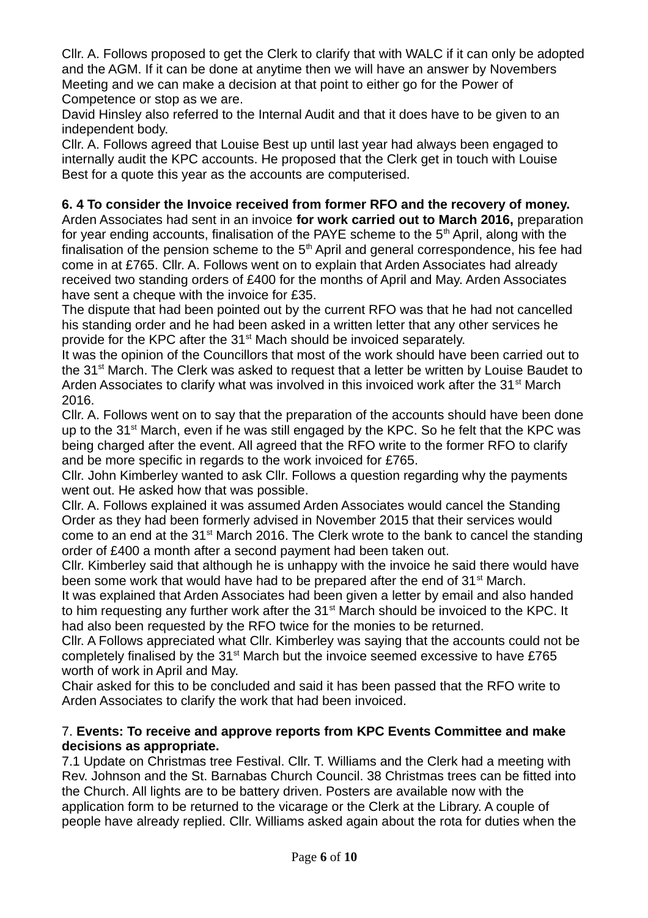Cllr. A. Follows proposed to get the Clerk to clarify that with WALC if it can only be adopted and the AGM. If it can be done at anytime then we will have an answer by Novembers Meeting and we can make a decision at that point to either go for the Power of Competence or stop as we are.

David Hinsley also referred to the Internal Audit and that it does have to be given to an independent body.

Cllr. A. Follows agreed that Louise Best up until last year had always been engaged to internally audit the KPC accounts. He proposed that the Clerk get in touch with Louise Best for a quote this year as the accounts are computerised.

# **6. 4 To consider the Invoice received from former RFO and the recovery of money.**

Arden Associates had sent in an invoice **for work carried out to March 2016,** preparation for year ending accounts, finalisation of the PAYE scheme to the 5<sup>th</sup> April, along with the finalisation of the pension scheme to the  $5<sup>th</sup>$  April and general correspondence, his fee had come in at £765. Cllr. A. Follows went on to explain that Arden Associates had already received two standing orders of £400 for the months of April and May. Arden Associates have sent a cheque with the invoice for £35.

The dispute that had been pointed out by the current RFO was that he had not cancelled his standing order and he had been asked in a written letter that any other services he provide for the KPC after the 31st Mach should be invoiced separately.

It was the opinion of the Councillors that most of the work should have been carried out to the 31<sup>st</sup> March. The Clerk was asked to request that a letter be written by Louise Baudet to Arden Associates to clarify what was involved in this invoiced work after the  $31<sup>st</sup>$  March 2016.

Cllr. A. Follows went on to say that the preparation of the accounts should have been done up to the  $31<sup>st</sup>$  March, even if he was still engaged by the KPC. So he felt that the KPC was being charged after the event. All agreed that the RFO write to the former RFO to clarify and be more specific in regards to the work invoiced for £765.

Cllr. John Kimberley wanted to ask Cllr. Follows a question regarding why the payments went out. He asked how that was possible.

Cllr. A. Follows explained it was assumed Arden Associates would cancel the Standing Order as they had been formerly advised in November 2015 that their services would come to an end at the  $31<sup>st</sup>$  March 2016. The Clerk wrote to the bank to cancel the standing order of £400 a month after a second payment had been taken out.

Cllr. Kimberley said that although he is unhappy with the invoice he said there would have been some work that would have had to be prepared after the end of  $31<sup>st</sup>$  March.

It was explained that Arden Associates had been given a letter by email and also handed to him requesting any further work after the  $31<sup>st</sup>$  March should be invoiced to the KPC. It had also been requested by the RFO twice for the monies to be returned.

Cllr. A Follows appreciated what Cllr. Kimberley was saying that the accounts could not be completely finalised by the  $31<sup>st</sup>$  March but the invoice seemed excessive to have £765 worth of work in April and May.

Chair asked for this to be concluded and said it has been passed that the RFO write to Arden Associates to clarify the work that had been invoiced.

#### 7. **Events: To receive and approve reports from KPC Events Committee and make decisions as appropriate.**

7.1 Update on Christmas tree Festival. Cllr. T. Williams and the Clerk had a meeting with Rev. Johnson and the St. Barnabas Church Council. 38 Christmas trees can be fitted into the Church. All lights are to be battery driven. Posters are available now with the application form to be returned to the vicarage or the Clerk at the Library. A couple of people have already replied. Cllr. Williams asked again about the rota for duties when the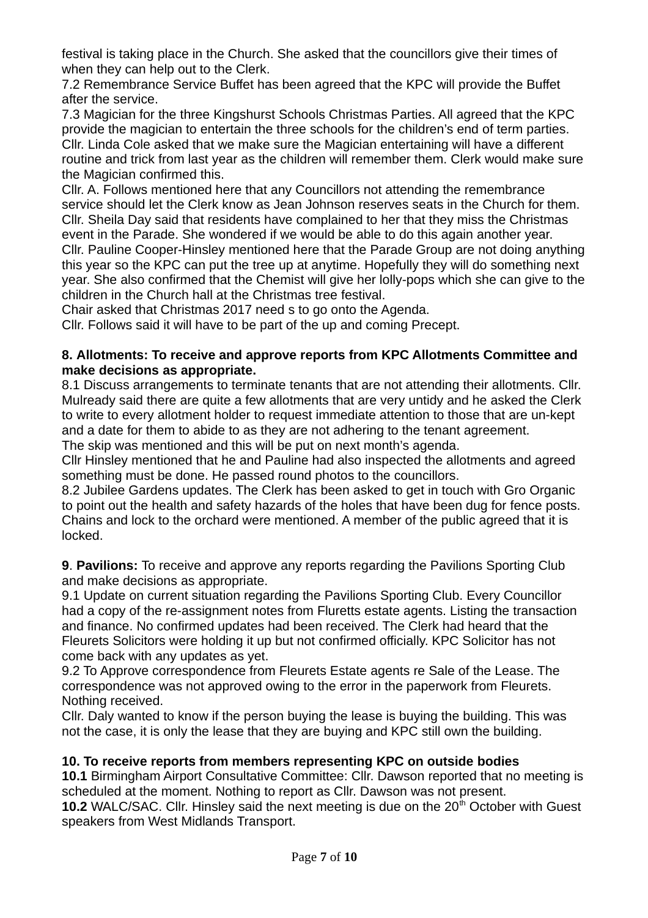festival is taking place in the Church. She asked that the councillors give their times of when they can help out to the Clerk.

7.2 Remembrance Service Buffet has been agreed that the KPC will provide the Buffet after the service.

7.3 Magician for the three Kingshurst Schools Christmas Parties. All agreed that the KPC provide the magician to entertain the three schools for the children's end of term parties. Cllr. Linda Cole asked that we make sure the Magician entertaining will have a different routine and trick from last year as the children will remember them. Clerk would make sure the Magician confirmed this.

Cllr. A. Follows mentioned here that any Councillors not attending the remembrance service should let the Clerk know as Jean Johnson reserves seats in the Church for them. Cllr. Sheila Day said that residents have complained to her that they miss the Christmas event in the Parade. She wondered if we would be able to do this again another year. Cllr. Pauline Cooper-Hinsley mentioned here that the Parade Group are not doing anything this year so the KPC can put the tree up at anytime. Hopefully they will do something next year. She also confirmed that the Chemist will give her lolly-pops which she can give to the children in the Church hall at the Christmas tree festival.

Chair asked that Christmas 2017 need s to go onto the Agenda.

Cllr. Follows said it will have to be part of the up and coming Precept.

#### **8. Allotments: To receive and approve reports from KPC Allotments Committee and make decisions as appropriate.**

8.1 Discuss arrangements to terminate tenants that are not attending their allotments. Cllr. Mulready said there are quite a few allotments that are very untidy and he asked the Clerk to write to every allotment holder to request immediate attention to those that are un-kept and a date for them to abide to as they are not adhering to the tenant agreement.

The skip was mentioned and this will be put on next month's agenda.

Cllr Hinsley mentioned that he and Pauline had also inspected the allotments and agreed something must be done. He passed round photos to the councillors.

8.2 Jubilee Gardens updates. The Clerk has been asked to get in touch with Gro Organic to point out the health and safety hazards of the holes that have been dug for fence posts. Chains and lock to the orchard were mentioned. A member of the public agreed that it is locked.

**9**. **Pavilions:** To receive and approve any reports regarding the Pavilions Sporting Club and make decisions as appropriate.

9.1 Update on current situation regarding the Pavilions Sporting Club. Every Councillor had a copy of the re-assignment notes from Fluretts estate agents. Listing the transaction and finance. No confirmed updates had been received. The Clerk had heard that the Fleurets Solicitors were holding it up but not confirmed officially. KPC Solicitor has not come back with any updates as yet.

9.2 To Approve correspondence from Fleurets Estate agents re Sale of the Lease. The correspondence was not approved owing to the error in the paperwork from Fleurets. Nothing received.

Cllr. Daly wanted to know if the person buying the lease is buying the building. This was not the case, it is only the lease that they are buying and KPC still own the building.

## **10. To receive reports from members representing KPC on outside bodies**

**10.1** Birmingham Airport Consultative Committee: Cllr. Dawson reported that no meeting is scheduled at the moment. Nothing to report as Cllr. Dawson was not present.

**10.2** WALC/SAC. Cllr. Hinsley said the next meeting is due on the 20<sup>th</sup> October with Guest speakers from West Midlands Transport.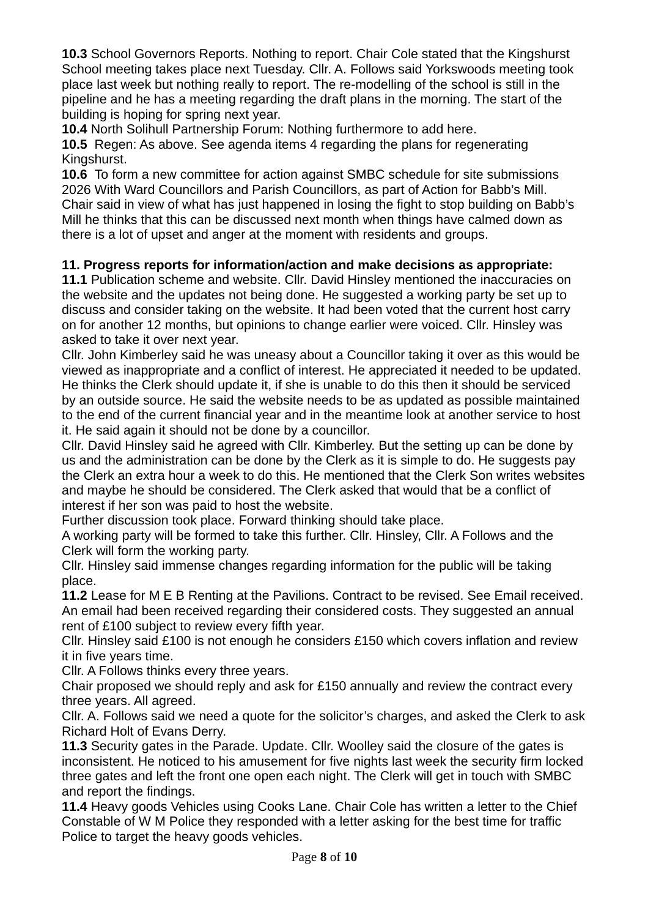**10.3** School Governors Reports. Nothing to report. Chair Cole stated that the Kingshurst School meeting takes place next Tuesday. Cllr. A. Follows said Yorkswoods meeting took place last week but nothing really to report. The re-modelling of the school is still in the pipeline and he has a meeting regarding the draft plans in the morning. The start of the building is hoping for spring next year.

**10.4** North Solihull Partnership Forum: Nothing furthermore to add here.

**10.5** Regen: As above. See agenda items 4 regarding the plans for regenerating Kingshurst.

**10.6** To form a new committee for action against SMBC schedule for site submissions 2026 With Ward Councillors and Parish Councillors, as part of Action for Babb's Mill. Chair said in view of what has just happened in losing the fight to stop building on Babb's Mill he thinks that this can be discussed next month when things have calmed down as there is a lot of upset and anger at the moment with residents and groups.

# **11. Progress reports for information/action and make decisions as appropriate:**

**11.1** Publication scheme and website. Cllr. David Hinsley mentioned the inaccuracies on the website and the updates not being done. He suggested a working party be set up to discuss and consider taking on the website. It had been voted that the current host carry on for another 12 months, but opinions to change earlier were voiced. Cllr. Hinsley was asked to take it over next year.

Cllr. John Kimberley said he was uneasy about a Councillor taking it over as this would be viewed as inappropriate and a conflict of interest. He appreciated it needed to be updated. He thinks the Clerk should update it, if she is unable to do this then it should be serviced by an outside source. He said the website needs to be as updated as possible maintained to the end of the current financial year and in the meantime look at another service to host it. He said again it should not be done by a councillor.

Cllr. David Hinsley said he agreed with Cllr. Kimberley. But the setting up can be done by us and the administration can be done by the Clerk as it is simple to do. He suggests pay the Clerk an extra hour a week to do this. He mentioned that the Clerk Son writes websites and maybe he should be considered. The Clerk asked that would that be a conflict of interest if her son was paid to host the website.

Further discussion took place. Forward thinking should take place.

A working party will be formed to take this further. Cllr. Hinsley, Cllr. A Follows and the Clerk will form the working party.

Cllr. Hinsley said immense changes regarding information for the public will be taking place.

**11.2** Lease for M E B Renting at the Pavilions. Contract to be revised. See Email received. An email had been received regarding their considered costs. They suggested an annual rent of £100 subject to review every fifth year.

Cllr. Hinsley said £100 is not enough he considers £150 which covers inflation and review it in five years time.

Cllr. A Follows thinks every three years.

Chair proposed we should reply and ask for £150 annually and review the contract every three years. All agreed.

Cllr. A. Follows said we need a quote for the solicitor's charges, and asked the Clerk to ask Richard Holt of Evans Derry.

**11.3** Security gates in the Parade. Update. Cllr. Woolley said the closure of the gates is inconsistent. He noticed to his amusement for five nights last week the security firm locked three gates and left the front one open each night. The Clerk will get in touch with SMBC and report the findings.

**11.4** Heavy goods Vehicles using Cooks Lane. Chair Cole has written a letter to the Chief Constable of W M Police they responded with a letter asking for the best time for traffic Police to target the heavy goods vehicles.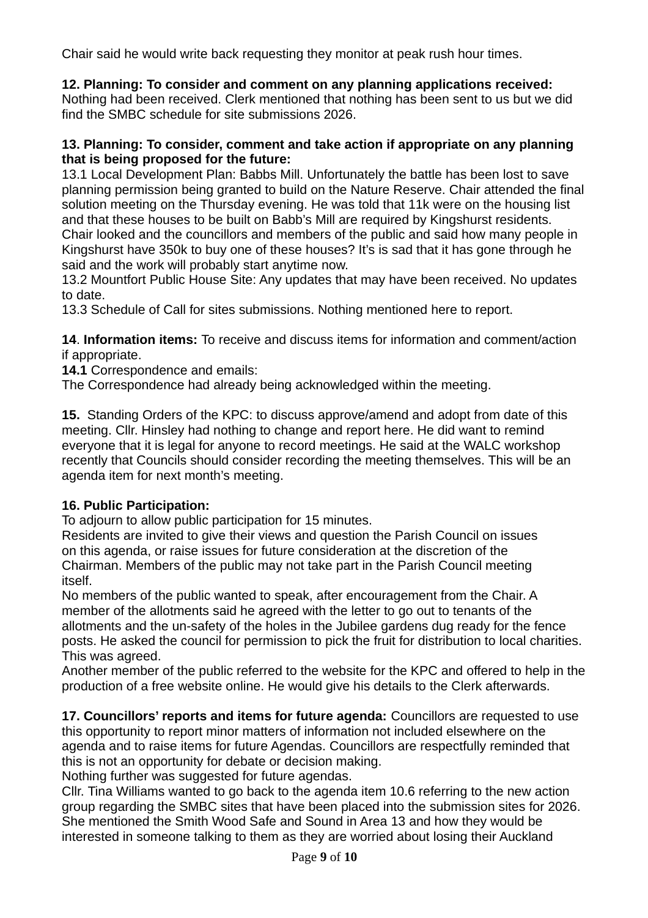Chair said he would write back requesting they monitor at peak rush hour times.

# **12. Planning: To consider and comment on any planning applications received:**

Nothing had been received. Clerk mentioned that nothing has been sent to us but we did find the SMBC schedule for site submissions 2026.

## **13. Planning: To consider, comment and take action if appropriate on any planning that is being proposed for the future:**

13.1 Local Development Plan: Babbs Mill. Unfortunately the battle has been lost to save planning permission being granted to build on the Nature Reserve. Chair attended the final solution meeting on the Thursday evening. He was told that 11k were on the housing list and that these houses to be built on Babb's Mill are required by Kingshurst residents. Chair looked and the councillors and members of the public and said how many people in Kingshurst have 350k to buy one of these houses? It's is sad that it has gone through he said and the work will probably start anytime now.

13.2 Mountfort Public House Site: Any updates that may have been received. No updates to date.

13.3 Schedule of Call for sites submissions. Nothing mentioned here to report.

**14**. **Information items:** To receive and discuss items for information and comment/action if appropriate.

**14.1** Correspondence and emails:

The Correspondence had already being acknowledged within the meeting.

**15.** Standing Orders of the KPC: to discuss approve/amend and adopt from date of this meeting. Cllr. Hinsley had nothing to change and report here. He did want to remind everyone that it is legal for anyone to record meetings. He said at the WALC workshop recently that Councils should consider recording the meeting themselves. This will be an agenda item for next month's meeting.

# **16. Public Participation:**

To adjourn to allow public participation for 15 minutes.

Residents are invited to give their views and question the Parish Council on issues on this agenda, or raise issues for future consideration at the discretion of the Chairman. Members of the public may not take part in the Parish Council meeting itself.

No members of the public wanted to speak, after encouragement from the Chair. A member of the allotments said he agreed with the letter to go out to tenants of the allotments and the un-safety of the holes in the Jubilee gardens dug ready for the fence posts. He asked the council for permission to pick the fruit for distribution to local charities. This was agreed.

Another member of the public referred to the website for the KPC and offered to help in the production of a free website online. He would give his details to the Clerk afterwards.

**17. Councillors' reports and items for future agenda:** Councillors are requested to use this opportunity to report minor matters of information not included elsewhere on the agenda and to raise items for future Agendas. Councillors are respectfully reminded that this is not an opportunity for debate or decision making.

Nothing further was suggested for future agendas.

Cllr. Tina Williams wanted to go back to the agenda item 10.6 referring to the new action group regarding the SMBC sites that have been placed into the submission sites for 2026. She mentioned the Smith Wood Safe and Sound in Area 13 and how they would be interested in someone talking to them as they are worried about losing their Auckland